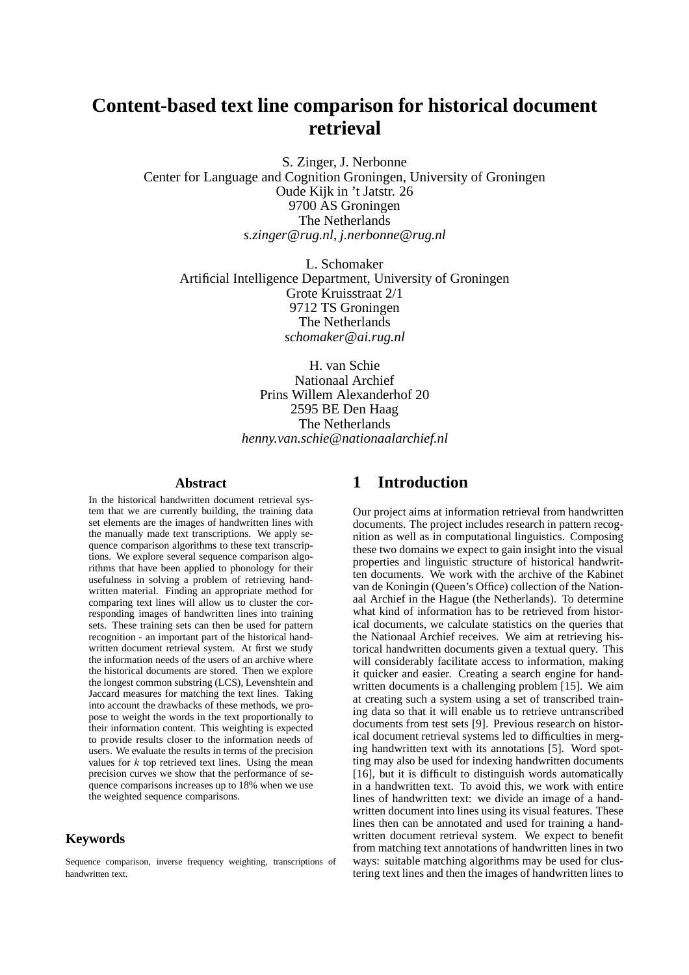# **Content-based text line comparison for historical document retrieval**

S. Zinger, J. Nerbonne Center for Language and Cognition Groningen, University of Groningen Oude Kijk in 't Jatstr. 26 9700 AS Groningen The Netherlands *s.zinger*@*rug.nl*, *j.nerbonne*@*rug.nl*

L. Schomaker Artificial Intelligence Department, University of Groningen Grote Kruisstraat 2/1 9712 TS Groningen The Netherlands *schomaker*@*ai.rug.nl*

> H. van Schie Nationaal Archief Prins Willem Alexanderhof 20 2595 BE Den Haag The Netherlands *henny.van.schie*@*nationaalarchief.nl*

#### **Abstract**

In the historical handwritten document retrieval system that we are currently building, the training data set elements are the images of handwritten lines with the manually made text transcriptions. We apply sequence comparison algorithms to these text transcriptions. We explore several sequence comparison algorithms that have been applied to phonology for their usefulness in solving a problem of retrieving handwritten material. Finding an appropriate method for comparing text lines will allow us to cluster the corresponding images of handwritten lines into training sets. These training sets can then be used for pattern recognition - an important part of the historical handwritten document retrieval system. At first we study the information needs of the users of an archive where the historical documents are stored. Then we explore the longest common substring (LCS), Levenshtein and Jaccard measures for matching the text lines. Taking into account the drawbacks of these methods, we propose to weight the words in the text proportionally to their information content. This weighting is expected to provide results closer to the information needs of users. We evaluate the results in terms of the precision values for  $k$  top retrieved text lines. Using the mean precision curves we show that the performance of sequence comparisons increases up to 18% when we use the weighted sequence comparisons.

# **Keywords**

Sequence comparison, inverse frequency weighting, transcriptions of handwritten text.

# **1 Introduction**

Our project aims at information retrieval from handwritten documents. The project includes research in pattern recognition as well as in computational linguistics. Composing these two domains we expect to gain insight into the visual properties and linguistic structure of historical handwritten documents. We work with the archive of the Kabinet van de Koningin (Queen's Office) collection of the Nationaal Archief in the Hague (the Netherlands). To determine what kind of information has to be retrieved from historical documents, we calculate statistics on the queries that the Nationaal Archief receives. We aim at retrieving historical handwritten documents given a textual query. This will considerably facilitate access to information, making it quicker and easier. Creating a search engine for handwritten documents is a challenging problem [15]. We aim at creating such a system using a set of transcribed training data so that it will enable us to retrieve untranscribed documents from test sets [9]. Previous research on historical document retrieval systems led to difficulties in merging handwritten text with its annotations [5]. Word spotting may also be used for indexing handwritten documents [16], but it is difficult to distinguish words automatically in a handwritten text. To avoid this, we work with entire lines of handwritten text: we divide an image of a handwritten document into lines using its visual features. These lines then can be annotated and used for training a handwritten document retrieval system. We expect to benefit from matching text annotations of handwritten lines in two ways: suitable matching algorithms may be used for clustering text lines and then the images of handwritten lines to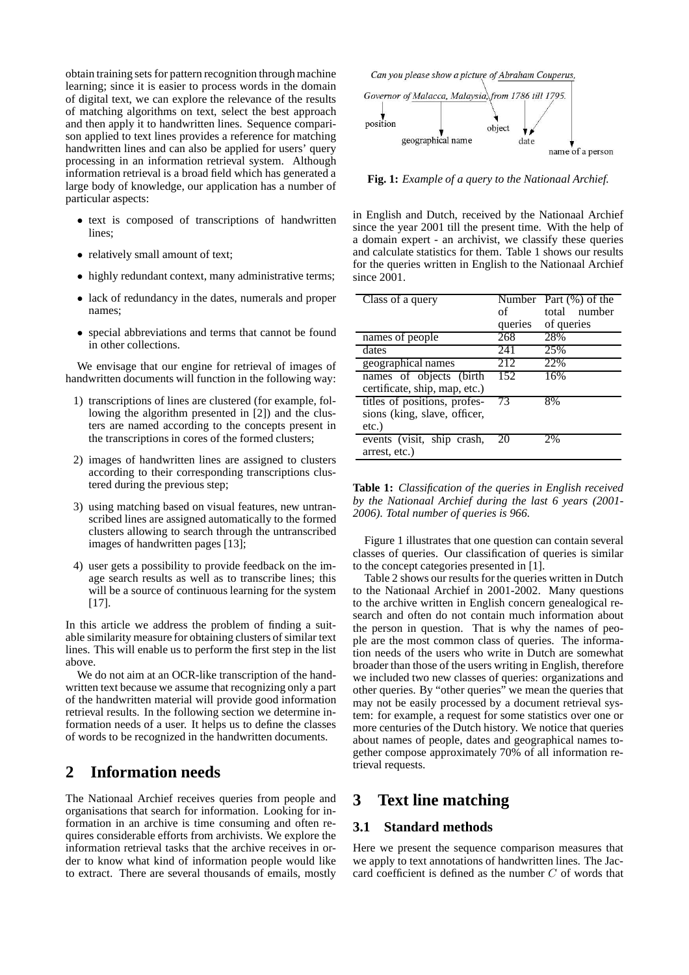obtain training sets for pattern recognition through machine learning; since it is easier to process words in the domain of digital text, we can explore the relevance of the results of matching algorithms on text, select the best approach and then apply it to handwritten lines. Sequence comparison applied to text lines provides a reference for matching handwritten lines and can also be applied for users' query processing in an information retrieval system. Although information retrieval is a broad field which has generated a large body of knowledge, our application has a number of particular aspects:

- text is composed of transcriptions of handwritten lines;
- relatively small amount of text;
- highly redundant context, many administrative terms;
- lack of redundancy in the dates, numerals and proper names;
- special abbreviations and terms that cannot be found in other collections.

We envisage that our engine for retrieval of images of handwritten documents will function in the following way:

- 1) transcriptions of lines are clustered (for example, following the algorithm presented in [2]) and the clusters are named according to the concepts present in the transcriptions in cores of the formed clusters;
- 2) images of handwritten lines are assigned to clusters according to their corresponding transcriptions clustered during the previous step;
- 3) using matching based on visual features, new untranscribed lines are assigned automatically to the formed clusters allowing to search through the untranscribed images of handwritten pages [13];
- 4) user gets a possibility to provide feedback on the image search results as well as to transcribe lines; this will be a source of continuous learning for the system [17].

In this article we address the problem of finding a suitable similarity measure for obtaining clusters of similar text lines. This will enable us to perform the first step in the list above.

We do not aim at an OCR-like transcription of the handwritten text because we assume that recognizing only a part of the handwritten material will provide good information retrieval results. In the following section we determine information needs of a user. It helps us to define the classes of words to be recognized in the handwritten documents.

# **2 Information needs**

The Nationaal Archief receives queries from people and organisations that search for information. Looking for information in an archive is time consuming and often requires considerable efforts from archivists. We explore the information retrieval tasks that the archive receives in order to know what kind of information people would like to extract. There are several thousands of emails, mostly



**Fig. 1:** *Example of a query to the Nationaal Archief.*

in English and Dutch, received by the Nationaal Archief since the year 2001 till the present time. With the help of a domain expert - an archivist, we classify these queries and calculate statistics for them. Table 1 shows our results for the queries written in English to the Nationaal Archief since 2001.

| Class of a query              |         | Number Part $(\%)$ of the |
|-------------------------------|---------|---------------------------|
|                               | of      | number<br>total           |
|                               | queries | of queries                |
| names of people               | 268     | 28%                       |
| dates                         | 241     | 25%                       |
| geographical names            | 212     | 22%                       |
| names of objects (birth       | 152     | 16%                       |
| certificate, ship, map, etc.) |         |                           |
| titles of positions, profes-  | 73      | 8%                        |
| sions (king, slave, officer,  |         |                           |
| $etc.$ )                      |         |                           |
| events (visit, ship crash,    | 20      | 2%                        |
| arrest, etc.)                 |         |                           |

**Table 1:** *Classification of the queries in English received by the Nationaal Archief during the last 6 years (2001- 2006). Total number of queries is 966.*

Figure 1 illustrates that one question can contain several classes of queries. Our classification of queries is similar to the concept categories presented in [1].

Table 2 shows our results for the queries written in Dutch to the Nationaal Archief in 2001-2002. Many questions to the archive written in English concern genealogical research and often do not contain much information about the person in question. That is why the names of people are the most common class of queries. The information needs of the users who write in Dutch are somewhat broader than those of the users writing in English, therefore we included two new classes of queries: organizations and other queries. By "other queries" we mean the queries that may not be easily processed by a document retrieval system: for example, a request for some statistics over one or more centuries of the Dutch history. We notice that queries about names of people, dates and geographical names together compose approximately 70% of all information retrieval requests.

# **3 Text line matching**

### **3.1 Standard methods**

Here we present the sequence comparison measures that we apply to text annotations of handwritten lines. The Jaccard coefficient is defined as the number C of words that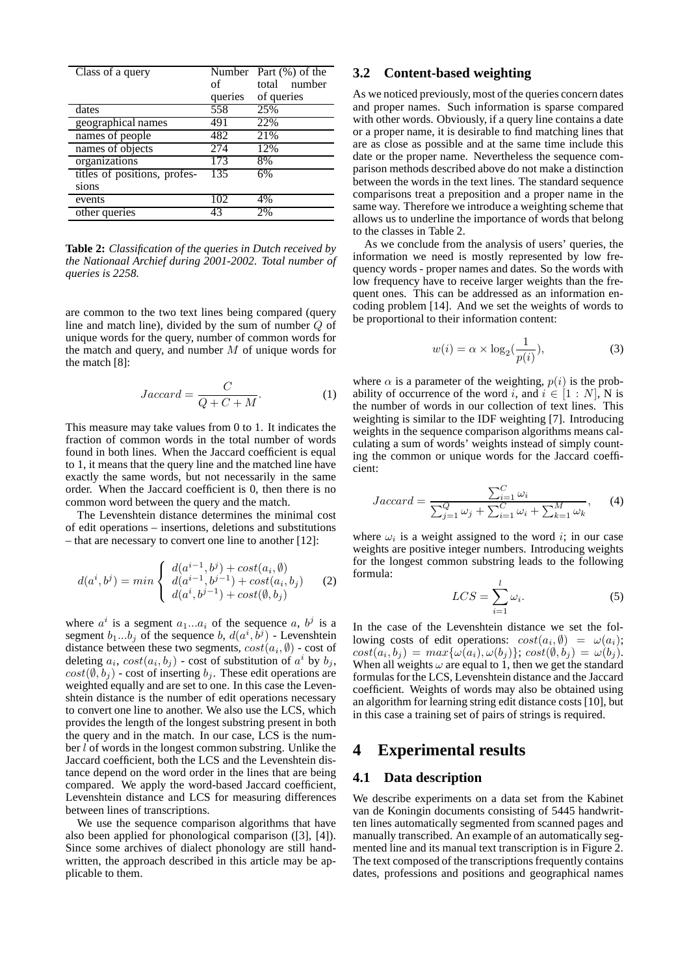| Class of a query             |         | Number Part $(\%)$ of the |
|------------------------------|---------|---------------------------|
|                              | of      | total<br>number           |
|                              | queries | of queries                |
| dates                        | 558     | 25%                       |
| geographical names           | 491     | 22%                       |
| names of people              | 482     | 21%                       |
| names of objects             | 274     | 12%                       |
| organizations                | 173     | 8%                        |
| titles of positions, profes- | 135     | 6%                        |
| sions                        |         |                           |
| events                       | 102     | 4%                        |
| other queries                | 43      | 2%                        |

**Table 2:** *Classification of the queries in Dutch received by the Nationaal Archief during 2001-2002. Total number of queries is 2258.*

are common to the two text lines being compared (query line and match line), divided by the sum of number Q of unique words for the query, number of common words for the match and query, and number  $M$  of unique words for the match [8]:

$$
Jaccard = \frac{C}{Q + C + M}.\tag{1}
$$

This measure may take values from 0 to 1. It indicates the fraction of common words in the total number of words found in both lines. When the Jaccard coefficient is equal to 1, it means that the query line and the matched line have exactly the same words, but not necessarily in the same order. When the Jaccard coefficient is 0, then there is no common word between the query and the match.

The Levenshtein distance determines the minimal cost of edit operations – insertions, deletions and substitutions – that are necessary to convert one line to another [12]:

$$
d(a^i, b^j) = min \begin{cases} d(a^{i-1}, b^j) + cost(a_i, \emptyset) \\ d(a^{i-1}, b^{j-1}) + cost(a_i, b_j) \\ d(a^i, b^{j-1}) + cost(\emptyset, b_j) \end{cases}
$$
 (2)

where  $a^i$  is a segment  $a_1...a_i$  of the sequence a,  $b^j$  is a segment  $b_1...b_j$  of the sequence b,  $d(a^i, \hat{b}^j)$  - Levenshtein distance between these two segments,  $cost(a_i, \emptyset)$  - cost of deleting  $a_i$ ,  $cost(a_i, b_j)$  - cost of substitution of  $a^i$  by  $b_j$ ,  $cost(\emptyset, b_j)$  - cost of inserting  $b_j$ . These edit operations are weighted equally and are set to one. In this case the Levenshtein distance is the number of edit operations necessary to convert one line to another. We also use the LCS, which provides the length of the longest substring present in both the query and in the match. In our case, LCS is the number l of words in the longest common substring. Unlike the Jaccard coefficient, both the LCS and the Levenshtein distance depend on the word order in the lines that are being compared. We apply the word-based Jaccard coefficient, Levenshtein distance and LCS for measuring differences between lines of transcriptions.

We use the sequence comparison algorithms that have also been applied for phonological comparison ([3], [4]). Since some archives of dialect phonology are still handwritten, the approach described in this article may be applicable to them.

# **3.2 Content-based weighting**

As we noticed previously, most of the queries concern dates and proper names. Such information is sparse compared with other words. Obviously, if a query line contains a date or a proper name, it is desirable to find matching lines that are as close as possible and at the same time include this date or the proper name. Nevertheless the sequence comparison methods described above do not make a distinction between the words in the text lines. The standard sequence comparisons treat a preposition and a proper name in the same way. Therefore we introduce a weighting scheme that allows us to underline the importance of words that belong to the classes in Table 2.

As we conclude from the analysis of users' queries, the information we need is mostly represented by low frequency words - proper names and dates. So the words with low frequency have to receive larger weights than the frequent ones. This can be addressed as an information encoding problem [14]. And we set the weights of words to be proportional to their information content:

$$
w(i) = \alpha \times \log_2(\frac{1}{p(i)}),\tag{3}
$$

where  $\alpha$  is a parameter of the weighting,  $p(i)$  is the probability of occurrence of the word i, and  $i \in [1:N]$ , N is the number of words in our collection of text lines. This weighting is similar to the IDF weighting [7]. Introducing weights in the sequence comparison algorithms means calculating a sum of words' weights instead of simply counting the common or unique words for the Jaccard coefficient:

$$
Jaccard = \frac{\sum_{i=1}^{C} \omega_i}{\sum_{j=1}^{Q} \omega_j + \sum_{i=1}^{C} \omega_i + \sum_{k=1}^{M} \omega_k},
$$
 (4)

where  $\omega_i$  is a weight assigned to the word i; in our case weights are positive integer numbers. Introducing weights for the longest common substring leads to the following formula:

$$
LCS = \sum_{i=1}^{l} \omega_i.
$$
 (5)

In the case of the Levenshtein distance we set the following costs of edit operations:  $cost(a_i, \emptyset) = \omega(a_i);$  $cost(a_i, b_j) = max\{\omega(a_i), \omega(b_j)\}; cost(\emptyset, b_j) = \omega(b_j).$ When all weights  $\omega$  are equal to 1, then we get the standard formulas for the LCS, Levenshtein distance and the Jaccard coefficient. Weights of words may also be obtained using an algorithm for learning string edit distance costs [10], but in this case a training set of pairs of strings is required.

# **4 Experimental results**

## **4.1 Data description**

We describe experiments on a data set from the Kabinet van de Koningin documents consisting of 5445 handwritten lines automatically segmented from scanned pages and manually transcribed. An example of an automatically segmented line and its manual text transcription is in Figure 2. The text composed of the transcriptions frequently contains dates, professions and positions and geographical names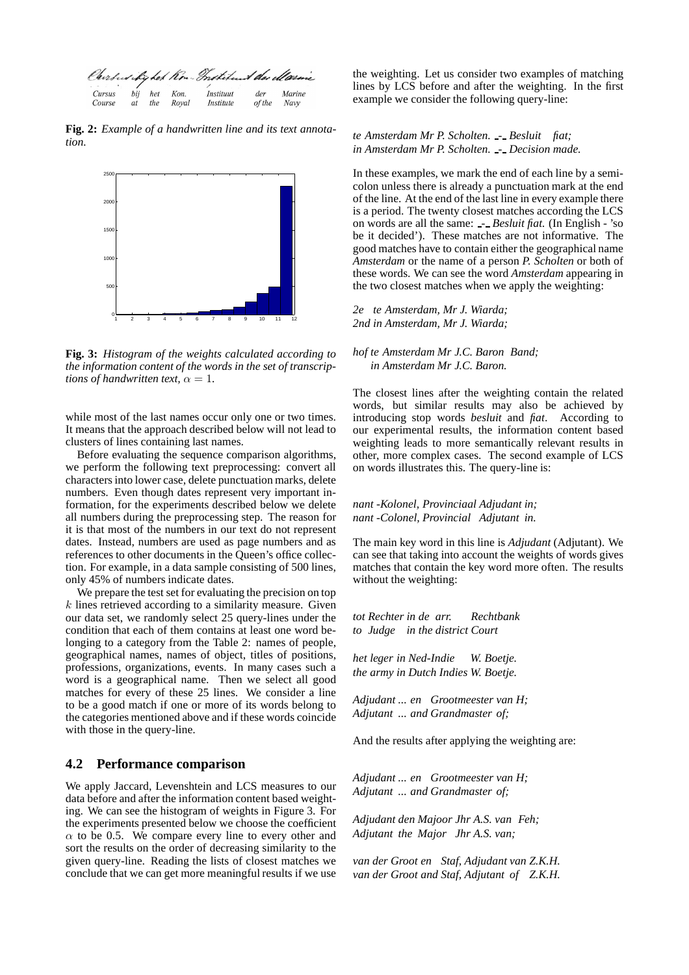

**Fig. 2:** *Example of a handwritten line and its text annotation.*



**Fig. 3:** *Histogram of the weights calculated according to the information content of the words in the set of transcriptions of handwritten text,*  $\alpha = 1$ .

while most of the last names occur only one or two times. It means that the approach described below will not lead to clusters of lines containing last names.

Before evaluating the sequence comparison algorithms, we perform the following text preprocessing: convert all characters into lower case, delete punctuation marks, delete numbers. Even though dates represent very important information, for the experiments described below we delete all numbers during the preprocessing step. The reason for it is that most of the numbers in our text do not represent dates. Instead, numbers are used as page numbers and as references to other documents in the Queen's office collection. For example, in a data sample consisting of 500 lines, only 45% of numbers indicate dates.

We prepare the test set for evaluating the precision on top  $k$  lines retrieved according to a similarity measure. Given our data set, we randomly select 25 query-lines under the condition that each of them contains at least one word belonging to a category from the Table 2: names of people, geographical names, names of object, titles of positions, professions, organizations, events. In many cases such a word is a geographical name. Then we select all good matches for every of these 25 lines. We consider a line to be a good match if one or more of its words belong to the categories mentioned above and if these words coincide with those in the query-line.

### **4.2 Performance comparison**

We apply Jaccard, Levenshtein and LCS measures to our data before and after the information content based weighting. We can see the histogram of weights in Figure 3. For the experiments presented below we choose the coefficient  $\alpha$  to be 0.5. We compare every line to every other and sort the results on the order of decreasing similarity to the given query-line. Reading the lists of closest matches we conclude that we can get more meaningful results if we use

the weighting. Let us consider two examples of matching lines by LCS before and after the weighting. In the first example we consider the following query-line:

### *te Amsterdam Mr P. Scholten. - Besluit fiat; in Amsterdam Mr P. Scholten. - Decision made.*

In these examples, we mark the end of each line by a semicolon unless there is already a punctuation mark at the end of the line. At the end of the last line in every example there is a period. The twenty closest matches according the LCS on words are all the same: *- Besluit fiat.* (In English - 'so be it decided'). These matches are not informative. The good matches have to contain either the geographical name *Amsterdam* or the name of a person *P. Scholten* or both of these words. We can see the word *Amsterdam* appearing in the two closest matches when we apply the weighting:

*2e te Amsterdam, Mr J. Wiarda; 2nd in Amsterdam, Mr J. Wiarda;*

### *hof te Amsterdam Mr J.C. Baron Band; in Amsterdam Mr J.C. Baron.*

The closest lines after the weighting contain the related words, but similar results may also be achieved by introducing stop words *besluit* and *fiat*. According to our experimental results, the information content based weighting leads to more semantically relevant results in other, more complex cases. The second example of LCS on words illustrates this. The query-line is:

### *nant -Kolonel, Provinciaal Adjudant in; nant -Colonel, Provincial Adjutant in.*

The main key word in this line is *Adjudant* (Adjutant). We can see that taking into account the weights of words gives matches that contain the key word more often. The results without the weighting:

*tot Rechter in de arr. to Judge in the district Court Rechtbank*

*het leger in Ned-Indie the army in Dutch Indies W. Boetje. W. Boetje.*

*Adjudant ... en Grootmeester van H; Adjutant ... and Grandmaster of;*

And the results after applying the weighting are:

*Adjudant ... en Grootmeester van H; Adjutant ... and Grandmaster of;*

*Adjudant den Majoor Jhr A.S. van Feh; Adjutant the Major Jhr A.S. van;*

*van der Groot en Staf, Adjudant van Z.K.H. van der Groot and Staf, Adjutant of Z.K.H.*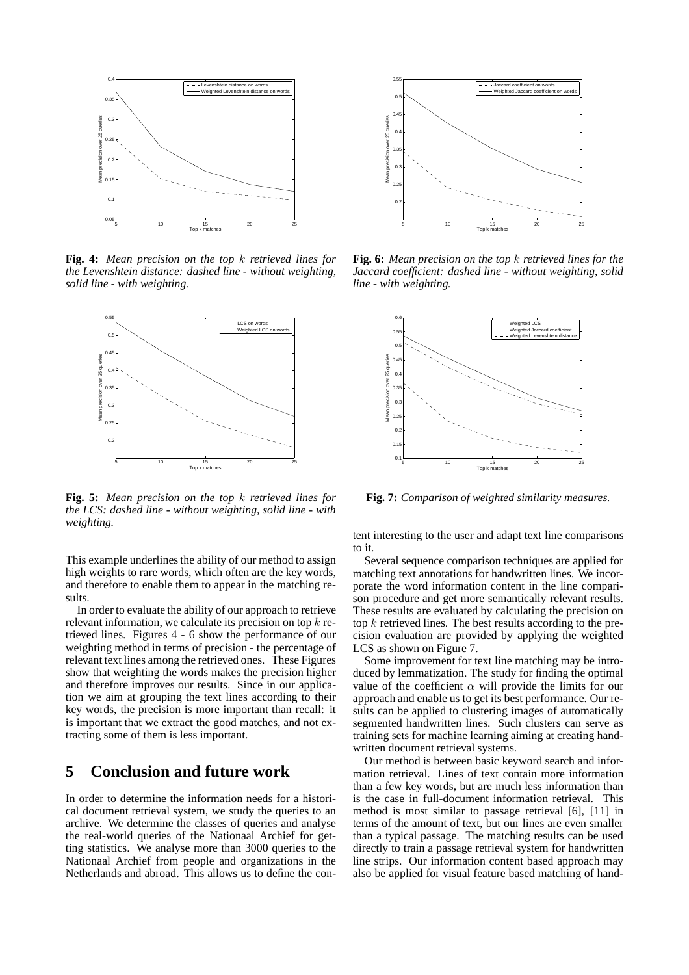

**Fig. 4:** *Mean precision on the top* k *retrieved lines for the Levenshtein distance: dashed line - without weighting, solid line - with weighting.*



**Fig. 5:** *Mean precision on the top* k *retrieved lines for the LCS: dashed line - without weighting, solid line - with weighting.*

This example underlines the ability of our method to assign high weights to rare words, which often are the key words, and therefore to enable them to appear in the matching results.

In order to evaluate the ability of our approach to retrieve relevant information, we calculate its precision on top k retrieved lines. Figures 4 - 6 show the performance of our weighting method in terms of precision - the percentage of relevant text lines among the retrieved ones. These Figures show that weighting the words makes the precision higher and therefore improves our results. Since in our application we aim at grouping the text lines according to their key words, the precision is more important than recall: it is important that we extract the good matches, and not extracting some of them is less important.

# **5 Conclusion and future work**

In order to determine the information needs for a historical document retrieval system, we study the queries to an archive. We determine the classes of queries and analyse the real-world queries of the Nationaal Archief for getting statistics. We analyse more than 3000 queries to the Nationaal Archief from people and organizations in the Netherlands and abroad. This allows us to define the con-



**Fig. 6:** *Mean precision on the top* k *retrieved lines for the Jaccard coefficient: dashed line - without weighting, solid line - with weighting.*



**Fig. 7:** *Comparison of weighted similarity measures.*

tent interesting to the user and adapt text line comparisons to it.

Several sequence comparison techniques are applied for matching text annotations for handwritten lines. We incorporate the word information content in the line comparison procedure and get more semantically relevant results. These results are evaluated by calculating the precision on top k retrieved lines. The best results according to the precision evaluation are provided by applying the weighted LCS as shown on Figure 7.

Some improvement for text line matching may be introduced by lemmatization. The study for finding the optimal value of the coefficient  $\alpha$  will provide the limits for our approach and enable us to get its best performance. Our results can be applied to clustering images of automatically segmented handwritten lines. Such clusters can serve as training sets for machine learning aiming at creating handwritten document retrieval systems.

Our method is between basic keyword search and information retrieval. Lines of text contain more information than a few key words, but are much less information than is the case in full-document information retrieval. This method is most similar to passage retrieval [6], [11] in terms of the amount of text, but our lines are even smaller than a typical passage. The matching results can be used directly to train a passage retrieval system for handwritten line strips. Our information content based approach may also be applied for visual feature based matching of hand